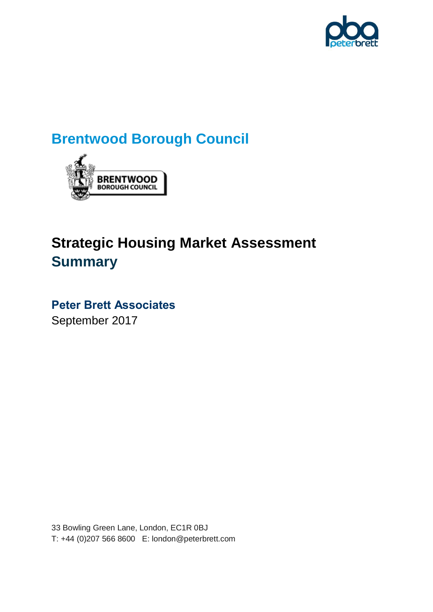

# **Brentwood Borough Council**



# **Strategic Housing Market Assessment Summary**

# **Peter Brett Associates**

September 2017

33 Bowling Green Lane, London, EC1R 0BJ T: +44 (0)207 566 8600 E: london@peterbrett.com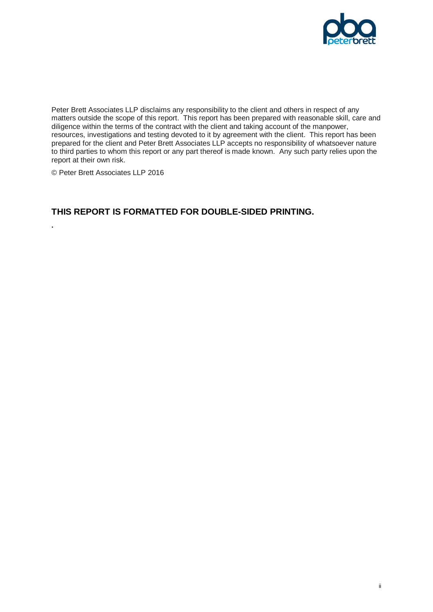

Peter Brett Associates LLP disclaims any responsibility to the client and others in respect of any matters outside the scope of this report. This report has been prepared with reasonable skill, care and diligence within the terms of the contract with the client and taking account of the manpower, resources, investigations and testing devoted to it by agreement with the client. This report has been prepared for the client and Peter Brett Associates LLP accepts no responsibility of whatsoever nature to third parties to whom this report or any part thereof is made known. Any such party relies upon the report at their own risk.

© Peter Brett Associates LLP 2016

**.**

#### **THIS REPORT IS FORMATTED FOR DOUBLE-SIDED PRINTING.**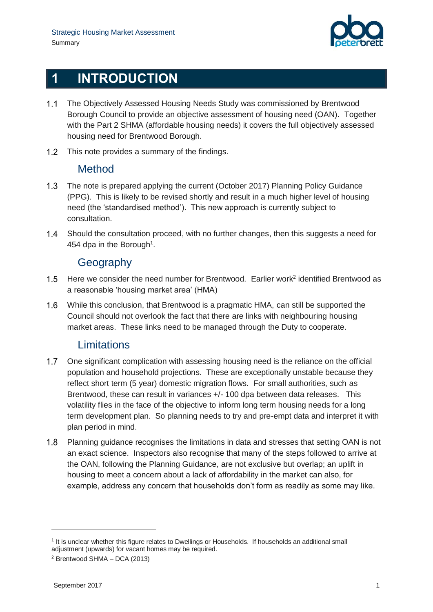

## **1 INTRODUCTION**

- 1.1 The Objectively Assessed Housing Needs Study was commissioned by Brentwood Borough Council to provide an objective assessment of housing need (OAN). Together with the Part 2 SHMA (affordable housing needs) it covers the full objectively assessed housing need for Brentwood Borough.
- 1.2 This note provides a summary of the findings.

#### Method

- 1.3 The note is prepared applying the current (October 2017) Planning Policy Guidance (PPG). This is likely to be revised shortly and result in a much higher level of housing need (the 'standardised method'). This new approach is currently subject to consultation.
- 1.4 Should the consultation proceed, with no further changes, then this suggests a need for 454 dpa in the Borough<sup>1</sup>.

#### Geography

- $1.5$ Here we consider the need number for Brentwood. Earlier work<sup>2</sup> identified Brentwood as a reasonable 'housing market area' (HMA)
- $1.6$ While this conclusion, that Brentwood is a pragmatic HMA, can still be supported the Council should not overlook the fact that there are links with neighbouring housing market areas. These links need to be managed through the Duty to cooperate.

#### **Limitations**

- $1.7$ One significant complication with assessing housing need is the reliance on the official population and household projections. These are exceptionally unstable because they reflect short term (5 year) domestic migration flows. For small authorities, such as Brentwood, these can result in variances +/- 100 dpa between data releases. This volatility flies in the face of the objective to inform long term housing needs for a long term development plan. So planning needs to try and pre-empt data and interpret it with plan period in mind.
- $1.8$ Planning guidance recognises the limitations in data and stresses that setting OAN is not an exact science. Inspectors also recognise that many of the steps followed to arrive at the OAN, following the Planning Guidance, are not exclusive but overlap; an uplift in housing to meet a concern about a lack of affordability in the market can also, for example, address any concern that households don't form as readily as some may like.

-

<sup>1</sup> It is unclear whether this figure relates to Dwellings or Households. If households an additional small adjustment (upwards) for vacant homes may be required.

<sup>2</sup> Brentwood SHMA – DCA (2013)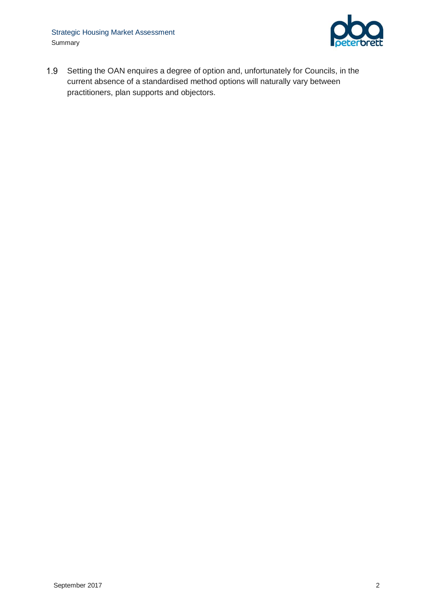

1.9 Setting the OAN enquires a degree of option and, unfortunately for Councils, in the current absence of a standardised method options will naturally vary between practitioners, plan supports and objectors.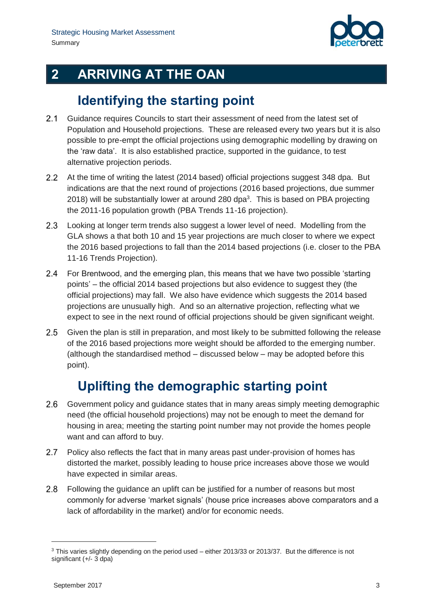

# **2 ARRIVING AT THE OAN**

## **Identifying the starting point**

- $2.1$ Guidance requires Councils to start their assessment of need from the latest set of Population and Household projections. These are released every two years but it is also possible to pre-empt the official projections using demographic modelling by drawing on the 'raw data'. It is also established practice, supported in the guidance, to test alternative projection periods.
- $2.2$ At the time of writing the latest (2014 based) official projections suggest 348 dpa. But indications are that the next round of projections (2016 based projections, due summer 2018) will be substantially lower at around 280 dpa $3$ . This is based on PBA projecting the 2011-16 population growth (PBA Trends 11-16 projection).
- $2.3$ Looking at longer term trends also suggest a lower level of need. Modelling from the GLA shows a that both 10 and 15 year projections are much closer to where we expect the 2016 based projections to fall than the 2014 based projections (i.e. closer to the PBA 11-16 Trends Projection).
- $2.4$ For Brentwood, and the emerging plan, this means that we have two possible 'starting points' – the official 2014 based projections but also evidence to suggest they (the official projections) may fall. We also have evidence which suggests the 2014 based projections are unusually high. And so an alternative projection, reflecting what we expect to see in the next round of official projections should be given significant weight.
- Given the plan is still in preparation, and most likely to be submitted following the release of the 2016 based projections more weight should be afforded to the emerging number. (although the standardised method – discussed below – may be adopted before this point).

# **Uplifting the demographic starting point**

- $2.6$ Government policy and guidance states that in many areas simply meeting demographic need (the official household projections) may not be enough to meet the demand for housing in area; meeting the starting point number may not provide the homes people want and can afford to buy.
- $2.7$ Policy also reflects the fact that in many areas past under-provision of homes has distorted the market, possibly leading to house price increases above those we would have expected in similar areas.
- $2.8$ Following the guidance an uplift can be justified for a number of reasons but most commonly for adverse 'market signals' (house price increases above comparators and a lack of affordability in the market) and/or for economic needs.

-

<sup>3</sup> This varies slightly depending on the period used – either 2013/33 or 2013/37. But the difference is not significant (+/- 3 dpa)